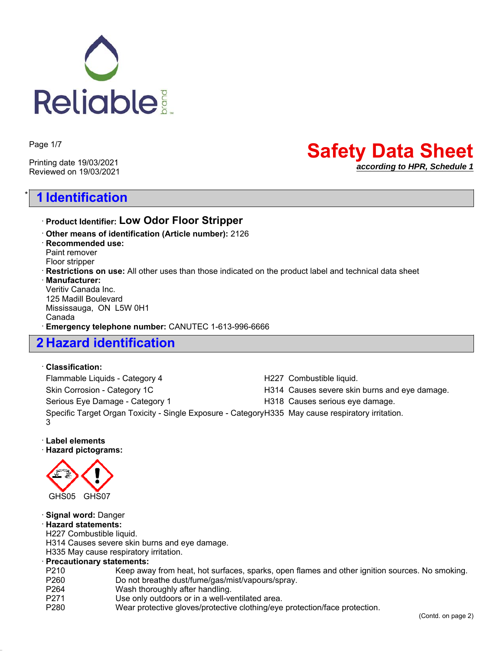

Page 1/7

Printing date 19/03/2021 Reviewed on 19/03/2021

# \* **1 Identification**

# **Safety Data Sheet** *according to HPR, Schedule 1*

## ꞏ **Product Identifier: Low Odor Floor Stripper**

ꞏ **Other means of identification (Article number):** 2126 ꞏ **Recommended use:** Paint remover Floor stripper ꞏ **Restrictions on use:** All other uses than those indicated on the product label and technical data sheet ꞏ **Manufacturer:** Veritiv Canada Inc. 125 Madill Boulevard Mississauga, ON L5W 0H1 Canada ꞏ **Emergency telephone number:** CANUTEC 1-613-996-6666

# **2 Hazard identification**

#### ꞏ **Classification:**

Flammable Liquids - Category 4 **H227** Combustible liquid. Skin Corrosion - Category 1C **H314** Causes severe skin burns and eye damage. Serious Eye Damage - Category 1 **H318** Causes serious eye damage. Specific Target Organ Toxicity - Single Exposure - Category H335 May cause respiratory irritation. 3

### ꞏ **Label elements**

ꞏ **Hazard pictograms:**



### ꞏ **Signal word:** Danger

ꞏ **Hazard statements:**

H227 Combustible liquid.

H314 Causes severe skin burns and eye damage.

H335 May cause respiratory irritation.

### ꞏ **Precautionary statements:**

- P210 Keep away from heat, hot surfaces, sparks, open flames and other ignition sources. No smoking.
- P260 Do not breathe dust/fume/gas/mist/vapours/spray.<br>P264 Wash thoroughly after handling.
- P264 Wash thoroughly after handling.<br>P271 Use only outdoors or in a well-ve Use only outdoors or in a well-ventilated area.
- P280 Wear protective gloves/protective clothing/eye protection/face protection.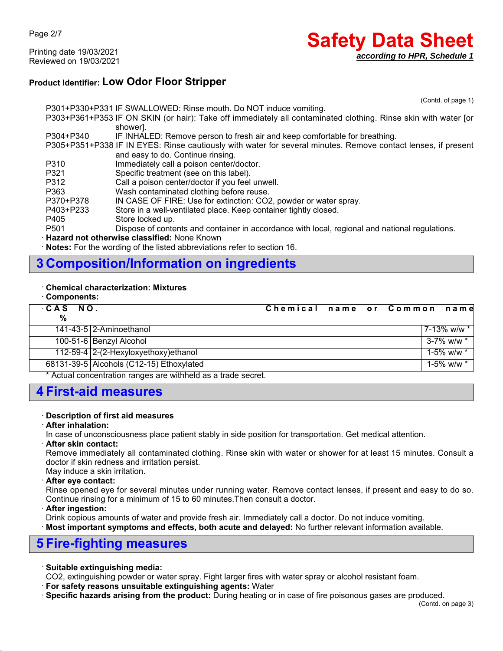Page 2/7

Printing date 19/03/2021 Reviewed on 19/03/2021

# **Safety Data Sheet** *according to HPR, Schedule 1*

### **Product Identifier: Low Odor Floor Stripper**

(Contd. of page 1)

P301+P330+P331 IF SWALLOWED: Rinse mouth. Do NOT induce vomiting. P303+P361+P353 IF ON SKIN (or hair): Take off immediately all contaminated clothing. Rinse skin with water [or shower]. P304+P340 IF INHALED: Remove person to fresh air and keep comfortable for breathing. P305+P351+P338 IF IN EYES: Rinse cautiously with water for several minutes. Remove contact lenses, if present and easy to do. Continue rinsing. P310 Immediately call a poison center/doctor. P321 Specific treatment (see on this label). P312 Call a poison center/doctor if you feel unwell. P363 Wash contaminated clothing before reuse. P370+P378 IN CASE OF FIRE: Use for extinction: CO2, powder or water spray. P403+P233 Store in a well-ventilated place. Keep container tightly closed. P405 Store locked up. P501 Dispose of contents and container in accordance with local, regional and national regulations. ꞏ **Hazard not otherwise classified:** None Known

**Notes:** For the wording of the listed abbreviations refer to section 16.

# **3 Composition/Information on ingredients**

#### ꞏ **Chemical characterization: Mixtures**

ꞏ **Components:**

|                                                                |  | 7-13% w/w * l                |
|----------------------------------------------------------------|--|------------------------------|
|                                                                |  | $3 - 7\%$ w/w $*$            |
|                                                                |  | $1-5\%$ w/w $*$              |
|                                                                |  | $1 - 5\%$ w/w $*$            |
| $*$ Actual concentration renges are withhold as a trade coeret |  | Chemical name or Common name |

Actual concentration ranges are withheld as a trade secret.

### **4 First-aid measures**

#### ꞏ **Description of first aid measures**

#### ꞏ **After inhalation:**

In case of unconsciousness place patient stably in side position for transportation. Get medical attention.

#### ꞏ **After skin contact:**

Remove immediately all contaminated clothing. Rinse skin with water or shower for at least 15 minutes. Consult a doctor if skin redness and irritation persist.

### May induce a skin irritation.

#### ꞏ **After eye contact:**

Rinse opened eye for several minutes under running water. Remove contact lenses, if present and easy to do so. Continue rinsing for a minimum of 15 to 60 minutes.Then consult a doctor.

#### ꞏ **After ingestion:**

Drink copious amounts of water and provide fresh air. Immediately call a doctor. Do not induce vomiting.

**Most important symptoms and effects, both acute and delayed:** No further relevant information available.

### **5 Fire-fighting measures**

### ꞏ **Suitable extinguishing media:**

CO2, extinguishing powder or water spray. Fight larger fires with water spray or alcohol resistant foam.

ꞏ **For safety reasons unsuitable extinguishing agents:** Water

ꞏ **Specific hazards arising from the product:** During heating or in case of fire poisonous gases are produced.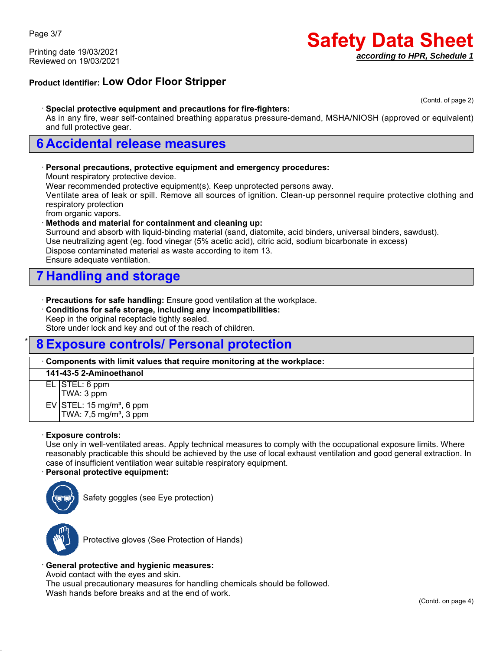Printing date 19/03/2021 Reviewed on 19/03/2021

# **Safety Data Sheet** *according to HPR, Schedule 1*

### **Product Identifier: Low Odor Floor Stripper**

(Contd. of page 2)

#### ꞏ **Special protective equipment and precautions for fire-fighters:**

As in any fire, wear self-contained breathing apparatus pressure-demand, MSHA/NIOSH (approved or equivalent) and full protective gear.

### **6 Accidental release measures**

#### ꞏ **Personal precautions, protective equipment and emergency procedures:**

Mount respiratory protective device.

Wear recommended protective equipment(s). Keep unprotected persons away.

Ventilate area of leak or spill. Remove all sources of ignition. Clean-up personnel require protective clothing and respiratory protection

from organic vapors.

#### ꞏ **Methods and material for containment and cleaning up:**

Surround and absorb with liquid-binding material (sand, diatomite, acid binders, universal binders, sawdust). Use neutralizing agent (eg. food vinegar (5% acetic acid), citric acid, sodium bicarbonate in excess) Dispose contaminated material as waste according to item 13. Ensure adequate ventilation.

### **7 Handling and storage**

ꞏ **Precautions for safe handling:** Ensure good ventilation at the workplace.

ꞏ **Conditions for safe storage, including any incompatibilities:**

Keep in the original receptacle tightly sealed.

Store under lock and key and out of the reach of children.

### \* **8 Exposure controls/ Personal protection**

#### ꞏ **Components with limit values that require monitoring at the workplace:**

| 141-43-5 2-Aminoethanol |                                                                             |  |
|-------------------------|-----------------------------------------------------------------------------|--|
|                         | EL STEL: 6 ppm<br>TWA: 3 ppm                                                |  |
|                         |                                                                             |  |
|                         | EV STEL: 15 mg/m <sup>3</sup> , 6 ppm<br>TWA: 7,5 mg/m <sup>3</sup> , 3 ppm |  |
|                         |                                                                             |  |

#### ꞏ **Exposure controls:**

Use only in well-ventilated areas. Apply technical measures to comply with the occupational exposure limits. Where reasonably practicable this should be achieved by the use of local exhaust ventilation and good general extraction. In case of insufficient ventilation wear suitable respiratory equipment.

#### ꞏ **Personal protective equipment:**



Safety goggles (see Eye protection)



Protective gloves (See Protection of Hands)

#### ꞏ **General protective and hygienic measures:**

Avoid contact with the eyes and skin.

The usual precautionary measures for handling chemicals should be followed. Wash hands before breaks and at the end of work.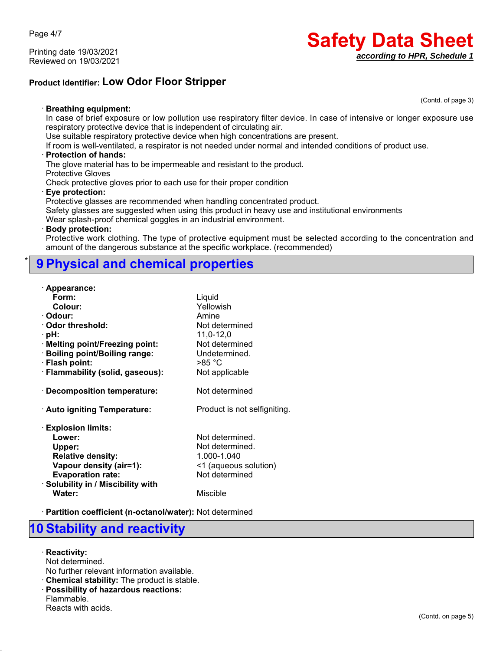Page 4/7

Printing date 19/03/2021 Reviewed on 19/03/2021

# **Safety Data Sheet** *according to HPR, Schedule 1*

(Contd. of page 3)

### **Product Identifier: Low Odor Floor Stripper**

ꞏ **Breathing equipment:**

In case of brief exposure or low pollution use respiratory filter device. In case of intensive or longer exposure use respiratory protective device that is independent of circulating air.

Use suitable respiratory protective device when high concentrations are present.

If room is well-ventilated, a respirator is not needed under normal and intended conditions of product use.

#### ꞏ **Protection of hands:**

The glove material has to be impermeable and resistant to the product.

Protective Gloves

Check protective gloves prior to each use for their proper condition

#### ꞏ **Eye protection:**

Protective glasses are recommended when handling concentrated product.

Safety glasses are suggested when using this product in heavy use and institutional environments

Wear splash-proof chemical goggles in an industrial environment.

#### ꞏ **Body protection:**

Protective work clothing. The type of protective equipment must be selected according to the concentration and amount of the dangerous substance at the specific workplace. (recommended)

## \* **9 Physical and chemical properties**

| · Appearance:                      |                              |
|------------------------------------|------------------------------|
| Form:                              | Liquid                       |
| Colour:                            | Yellowish                    |
| · Odour:                           | Amine                        |
| Odor threshold:                    | Not determined               |
| ·pH:                               | 11,0-12,0                    |
| · Melting point/Freezing point:    | Not determined               |
| · Boiling point/Boiling range:     | Undetermined.                |
| · Flash point:                     | $>85\textdegree C$           |
| · Flammability (solid, gaseous):   | Not applicable               |
| $\cdot$ Decomposition temperature: | Not determined               |
| · Auto igniting Temperature:       | Product is not selfigniting. |
| <b>Explosion limits:</b>           |                              |
| Lower:                             | Not determined.              |
| Upper:                             | Not determined.              |
| <b>Relative density:</b>           | 1.000-1.040                  |
| Vapour density (air=1):            | <1 (aqueous solution)        |
| <b>Evaporation rate:</b>           | Not determined               |
| · Solubility in / Miscibility with |                              |
| Water:                             | Miscible                     |

ꞏ **Partition coefficient (n-octanol/water):** Not determined

### **10 Stability and reactivity**

ꞏ **Reactivity:**

Not determined.

No further relevant information available.

ꞏ **Chemical stability:** The product is stable.

ꞏ **Possibility of hazardous reactions:**

Flammable.

Reacts with acids.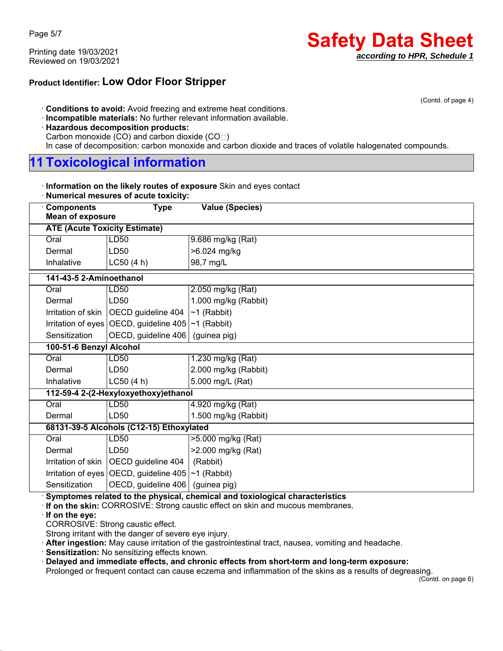Printing date 19/03/2021 Reviewed on 19/03/2021

### **Product Identifier: Low Odor Floor Stripper**

(Contd. of page 4)

ꞏ **Conditions to avoid:** Avoid freezing and extreme heat conditions.

- ꞏ **Incompatible materials:** No further relevant information available.
- ꞏ **Hazardous decomposition products:**
- Carbon monoxide (CO) and carbon dioxide (CO $\sqcap$ )

In case of decomposition: carbon monoxide and carbon dioxide and traces of volatile halogenated compounds.

# **11 Toxicological information**

| Information on the likely routes of exposure Skin and eyes contact |  |
|--------------------------------------------------------------------|--|
|--------------------------------------------------------------------|--|

| <b>Components</b><br><b>Value (Species)</b><br><b>Type</b>                                                                           |  |
|--------------------------------------------------------------------------------------------------------------------------------------|--|
|                                                                                                                                      |  |
| <b>Mean of exposure</b>                                                                                                              |  |
| <b>ATE (Acute Toxicity Estimate)</b>                                                                                                 |  |
| <b>LD50</b><br>9.686 mg/kg $(Rat)$<br>Oral                                                                                           |  |
| >6.024 mg/kg<br>Dermal<br>LD50                                                                                                       |  |
| 98,7 mg/L<br>Inhalative<br>L C50 (4 h)                                                                                               |  |
| 141-43-5 2-Aminoethanol                                                                                                              |  |
| LD50<br>Oral<br>2.050 mg/kg (Rat)                                                                                                    |  |
| 1.000 mg/kg (Rabbit)<br>Dermal<br>LD50                                                                                               |  |
| OECD guideline 404<br>$~1$ (Rabbit)<br>Irritation of skin                                                                            |  |
| Irritation of eyes OECD, guideline $405$ ~1 (Rabbit)                                                                                 |  |
| OECD, guideline 406<br>Sensitization<br>(guinea pig)                                                                                 |  |
| 100-51-6 Benzyl Alcohol                                                                                                              |  |
| Oral<br><b>LD50</b><br>1.230 mg/kg (Rat)                                                                                             |  |
| 2.000 mg/kg (Rabbit)<br>Dermal<br>LD50                                                                                               |  |
| LC50(4 h)<br>5.000 mg/L (Rat)<br>Inhalative                                                                                          |  |
| 112-59-4 2-(2-Hexyloxyethoxy)ethanol                                                                                                 |  |
| Oral<br>LD50<br>4.920 mg/kg (Rat)                                                                                                    |  |
| LD50<br>1.500 mg/kg (Rabbit)<br>Dermal                                                                                               |  |
| 68131-39-5 Alcohols (C12-15) Ethoxylated                                                                                             |  |
| Oral<br>LD50<br>>5.000 mg/kg (Rat)                                                                                                   |  |
| >2.000 mg/kg (Rat)<br>Dermal<br>LD50                                                                                                 |  |
| OECD guideline 404<br>Irritation of skin<br>(Rabbit)                                                                                 |  |
| Irritation of eyes OECD, guideline $405$ ~1 (Rabbit)                                                                                 |  |
| OECD, guideline 406<br>Sensitization<br>(guinea pig)<br>Symptomes related to the physical, chemical and texiological ebergeteristics |  |

ꞏ **Symptomes related to the physical, chemical and toxiological characteristics**

ꞏ **If on the skin:** CORROSIVE: Strong caustic effect on skin and mucous membranes.

ꞏ **If on the eye:**

CORROSIVE: Strong caustic effect.

Strong irritant with the danger of severe eye injury.

ꞏ **After ingestion:** May cause irritation of the gastrointestinal tract, nausea, vomiting and headache.

ꞏ **Sensitization:** No sensitizing effects known.

ꞏ **Delayed and immediate effects, and chronic effects from short-term and long-term exposure:**

Prolonged or frequent contact can cause eczema and inflammation of the skins as a results of degreasing.

(Contd. on page 6)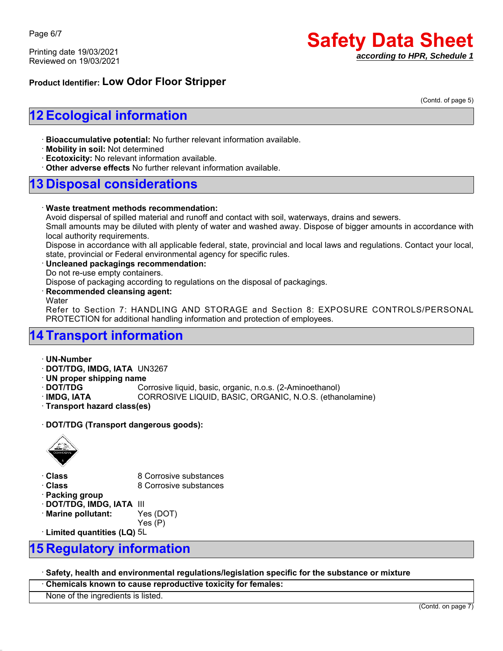Page 6/7

Printing date 19/03/2021 Reviewed on 19/03/2021

# **Safety Data Sheet** *according to HPR, Schedule 1*

### **Product Identifier: Low Odor Floor Stripper**

(Contd. of page 5)

# **12 Ecological information**

ꞏ **Bioaccumulative potential:** No further relevant information available.

ꞏ **Mobility in soil:** Not determined

ꞏ **Ecotoxicity:** No relevant information available.

ꞏ **Other adverse effects** No further relevant information available.

### **13 Disposal considerations**

#### ꞏ **Waste treatment methods recommendation:**

Avoid dispersal of spilled material and runoff and contact with soil, waterways, drains and sewers.

Small amounts may be diluted with plenty of water and washed away. Dispose of bigger amounts in accordance with local authority requirements.

Dispose in accordance with all applicable federal, state, provincial and local laws and regulations. Contact your local, state, provincial or Federal environmental agency for specific rules.

#### ꞏ **Uncleaned packagings recommendation:**

Do not re-use empty containers.

Dispose of packaging according to regulations on the disposal of packagings.

#### ꞏ **Recommended cleansing agent:**

**Water** 

Refer to Section 7: HANDLING AND STORAGE and Section 8: EXPOSURE CONTROLS/PERSONAL PROTECTION for additional handling information and protection of employees.

# **14 Transport information**

ꞏ **UN-Number** ꞏ **DOT/TDG, IMDG, IATA** UN3267 ꞏ **UN proper shipping name** ꞏ **DOT/TDG** Corrosive liquid, basic, organic, n.o.s. (2-Aminoethanol) ꞏ **IMDG, IATA** CORROSIVE LIQUID, BASIC, ORGANIC, N.O.S. (ethanolamine) ꞏ **Transport hazard class(es)**

ꞏ **DOT/TDG (Transport dangerous goods):**



**Class** 8 Corrosive substances **Class** 8 Corrosive substances ꞏ **Packing group** ꞏ **DOT/TDG, IMDG, IATA** III

ꞏ **Marine pollutant:** Yes (DOT)

Yes (P)

ꞏ **Limited quantities (LQ)** 5L

# **15 Regulatory information**

ꞏ **Safety, health and environmental regulations/legislation specific for the substance or mixture**

ꞏ **Chemicals known to cause reproductive toxicity for females:**

None of the ingredients is listed.